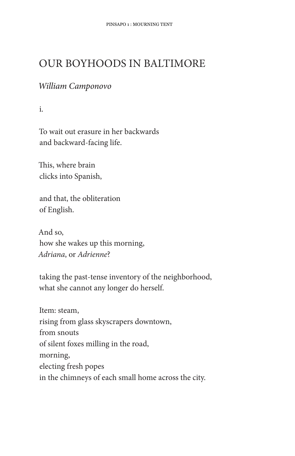## **OUR BOYHOODS IN BALTIMORE**

## William Camponovo

 $\mathbf{i}$ .

To wait out erasure in her backwards and backward-facing life.

This, where brain clicks into Spanish,

and that, the obliteration of English.

And so. how she wakes up this morning, Adriana, or Adrienne?

taking the past-tense inventory of the neighborhood, what she cannot any longer do herself.

Item: steam, rising from glass skyscrapers downtown, from snouts of silent foxes milling in the road, morning, electing fresh popes in the chimneys of each small home across the city.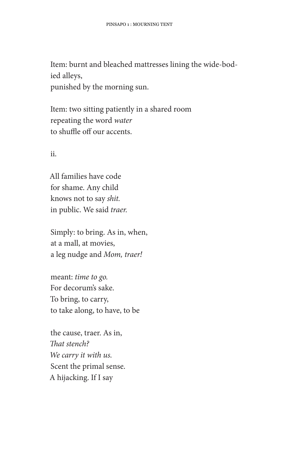Item: burnt and bleached mattresses lining the wide-bodied alleys, punished by the morning sun.

Item: two sitting patiently in a shared room repeating the word water to shuffle off our accents.

ii.

All families have code for shame. Any child knows not to say shit. in public. We said traer.

Simply: to bring. As in, when, at a mall, at movies, a leg nudge and Mom, traer!

meant: time to go. For decorum's sake. To bring, to carry, to take along, to have, to be

the cause, traer. As in, That stench? We carry it with us. Scent the primal sense. A hijacking. If I say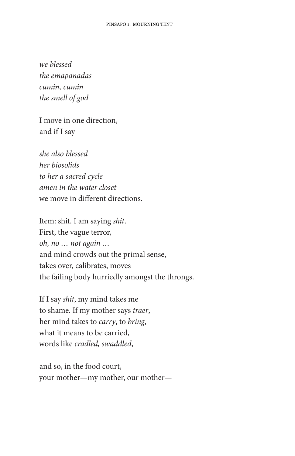we blessed the emapanadas cumin, cumin the smell of god

I move in one direction, and if I say

she also blessed her biosolids to her a sacred cycle amen in the water closet we move in different directions.

Item: shit. I am saying shit. First, the vague terror, oh, no ... not again ... and mind crowds out the primal sense, takes over, calibrates, moves the failing body hurriedly amongst the throngs.

If I say shit, my mind takes me to shame. If my mother says traer, her mind takes to *carry*, to *bring*, what it means to be carried, words like cradled, swaddled,

and so, in the food court, your mother—my mother, our mother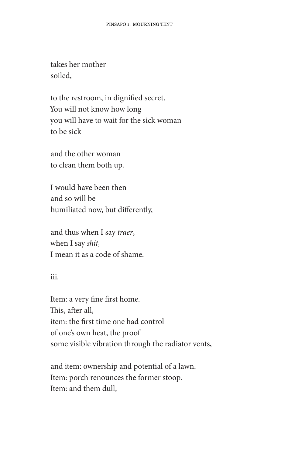takes her mother soiled.

to the restroom, in dignified secret. You will not know how long you will have to wait for the sick woman to be sick

and the other woman to clean them both up.

I would have been then and so will be humiliated now, but differently,

and thus when I say traer, when I say shit, I mean it as a code of shame.

iii.

Item: a very fine first home. This, after all, item: the first time one had control of one's own heat, the proof some visible vibration through the radiator vents,

and item: ownership and potential of a lawn. Item: porch renounces the former stoop. Item: and them dull,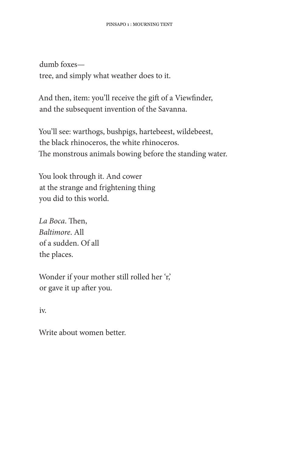dumb foxestree, and simply what weather does to it.

And then, item: you'll receive the gift of a Viewfinder, and the subsequent invention of the Savanna.

You'll see: warthogs, bushpigs, hartebeest, wildebeest, the black rhinoceros, the white rhinoceros. The monstrous animals bowing before the standing water.

You look through it. And cower at the strange and frightening thing you did to this world.

La Boca. Then, Baltimore, All of a sudden. Of all the places.

Wonder if your mother still rolled her 'r,' or gave it up after you.

 $iv<sub>1</sub>$ 

Write about women better.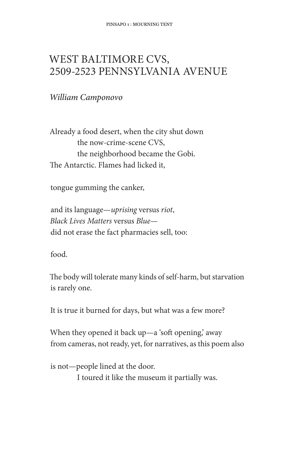## WEST BALTIMORE CVS, 2509-2523 PENNSYLVANIA AVENUE

## William Camponovo

Already a food desert, when the city shut down the now-crime-scene CVS, the neighborhood became the Gobi. The Antarctic. Flames had licked it,

tongue gumming the canker,

and its language-uprising versus riot, Black Lives Matters versus Bluedid not erase the fact pharmacies sell, too:

food.

The body will tolerate many kinds of self-harm, but starvation is rarely one.

It is true it burned for days, but what was a few more?

When they opened it back up—a 'soft opening,' away from cameras, not ready, yet, for narratives, as this poem also

is not-people lined at the door. I toured it like the museum it partially was.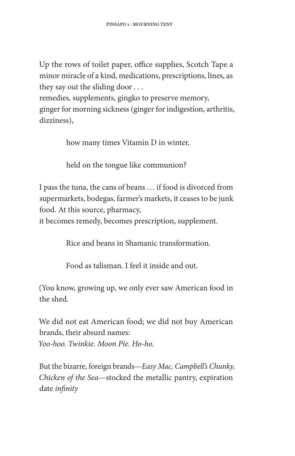Up the rows of toilet paper, office supplies, Scotch Tape a minor miracle of a kind, medications, prescriptions, lines, as they say out the sliding door  $\dots$ 

remedies, supplements, gingko to preserve memory, ginger for morning sickness (ginger for indigestion, arthritis, dizziness).

how many times Vitamin D in winter,

held on the tongue like communion?

I pass the tuna, the cans of beans ... if food is divorced from supermarkets, bodegas, farmer's markets, it ceases to be junk food. At this source, pharmacy,

it becomes remedy, becomes prescription, supplement.

Rice and beans in Shamanic transformation.

Food as talisman. I feel it inside and out.

(You know, growing up, we only ever saw American food in the shed.

We did not eat American food; we did not buy American brands, their absurd names: Yoo-hoo. Twinkie. Moon Pie. Ho-ho.

But the bizarre, foreign brands—Easy Mac, Campbell's Chunky, Chicken of the Sea—stocked the metallic pantry, expiration date infinity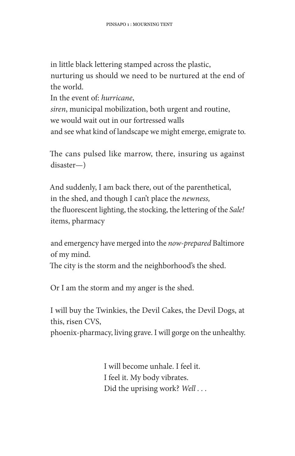in little black lettering stamped across the plastic, nurturing us should we need to be nurtured at the end of the world.

In the event of: *hurricane*, siren, municipal mobilization, both urgent and routine, we would wait out in our fortressed walls and see what kind of landscape we might emerge, emigrate to.

The cans pulsed like marrow, there, insuring us against  $disaster$ — $)$ 

And suddenly, I am back there, out of the parenthetical, in the shed, and though I can't place the newness, the fluorescent lighting, the stocking, the lettering of the Sale! items, pharmacy

and emergency have merged into the now-prepared Baltimore of my mind.

The city is the storm and the neighborhood's the shed.

Or I am the storm and my anger is the shed.

I will buy the Twinkies, the Devil Cakes, the Devil Dogs, at this, risen CVS.

phoenix-pharmacy, living grave. I will gorge on the unhealthy.

I will become unhale. I feel it. I feel it. My body vibrates. Did the uprising work? Well...